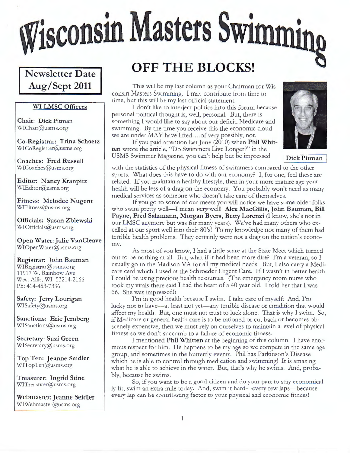# Wisconsin Masters Swimming

### **Newsletter Date Aug/ Sept 2011**

#### **WI LMSC Officers**

**Chair: Dick Pitman**  WIChair@usms.org

**Co-Registrar: Trina Schaetz**  WICoRegistrar@usms.org

**Coaches: Fred Russell**  WICoaches@usms.org

**Editor: Nancy Kranpitz**  WIEditor@usms.org

**Fitness: Melodee Nugent**  WIFitness@usms.org

**Officials: Susan Zblewski**  WIOfficials@usms.org

**Open Water: Julie VanCleave**  WIOpenWater@usms.org

**Registrar: John Bauman**  WIRegistrar@usms.org 11917 W. Rainbow Ave West Allis, WI 53214-2166 Ph: 414-453-7336

**Safety: Jerry Lourigan**  WISafety@usms.org

**Sanctions: Eric Jernberg**  WISanctions@usms.org

**Secretary: Suzi Green**  WISecretary@usms.org

**Top Ten: Jeanne Seidler**  WITopTen@usms.org

**Treasurer: Ingrid Stine**  WlTreasurer@usms.org

**Webmaster: Jeanne Seidler**  WIWebmaster@usms.org

## **OFF THE BLOCKS!**

This will be my last column as your Chairman for Wisconsin Masters Swimming. I may contribute from time to time, but this will be my last official statement.

I don't like to interject politics into this forum because personal political thought is, well, personal. But, there is something I would like to say about our deficit, Medicare and swimming. By the time you receive this the economic cloud we are under MAY have lifted....of very possibly, not.

If you paid attention last June (2010) when **Phil Whit**ten wrote the article, "Do Swimmers Live Longer?" in the USMS Swimmer Magazine, you can't help but be impressed **Dick Pitman** 



with the statistics of the physical fitness of swimmers compared to the other sports. What does this have to do with our economy? I, for one, feel these are related. If you maintain a healthy lifestyle, then in your more mature age your health will be less of a drag on the economy. You probably won't need as many medical services as someone who doesn't take care of themselves.

If you go to some of our meets you will notice we have some older folks who swim pretty well-I mean *very* well! Alex MacGillis, John Bauman, Bill **Payne, Fred Salzmann, Morgan Byers, Betty Lorenzi** (I know, she's not in our LMSC anymore but was for many years). We've had many others who excelled at our sport well into their 80's! To my knowledge not many of them had terrible health problems. They certainly were not a drag on the nation's economy.

As most of you know, I had a little scare at the State Meet which turned out to be nothing at all. But, what if it had been more dire? I'm a veteran, so I usually go to the Madison VA for all my medical needs. But, I also carry a Medicare card which I used at the Schroeder Urgent Care. If I wasn't in better health I could be using precious health resources. (The emergency room nurse who took my vitals there said I had the heart of a 40 year old. I told her that I was 66. She was impressed!)

I'm in good health because I swim. I take care of myself. And, I'm lucky not to have—at least not yet—any terrible disease or condition that would affect my health. But, one must not trust to luck alone. That is why I swim. So, if Medicare or general health care is to be rationed or cut back or becomes obscenely expensive, then we must rely on ourselves to maintain a level of physical fitness so we don't succumb to a failure of economic fitness.

I mentioned **Phil Whitten** at the beginning of this column. I have enormous respect for him. He happens to be my age so we compete in the same age group, and sometimes in the butterfly events. Phil has Parkinson's Disease which he is able to control through medication and swimming! It is amazing what he is able to achieve in the water. But, that's why he swims. And, probably, because he swims.

So, if you want to be a good citizen and do your part to stay economically fit, swim an extra mile today. And, swim it hard-every few laps-because every lap can be contributing factor to your physical and economic fitness!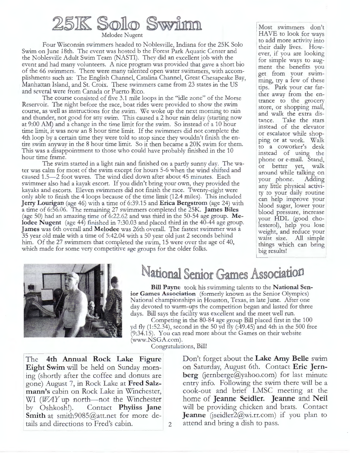## 25IK Solo Swim

Melodee Nugent

Four Wisconsin swimmers headed to Noblesville, Indiana for the 25K Solo Swim on June 18th. The event was hosted b the Forest Park Aquatic Center and the Noblesville Adult Swim Team (NASTI). They did an excellent job with the event and had many volunteers. A nice program was provided that gave a short bio of the 66 swimmers. There were many talented open water swimmers, with accomplishments such as: The English Channel, Catalina Channel, Great Chesapeake Bay, Manhattan Island, and St. Croix. These swimmers came from 23 states in the US and several were from Canada or Puerto Rico.

The course consisted of five 3.1 mile loops in the "idle zone" of the Morse Reservoir. The night before the race, boat rides were provided to show the swim course, as well as instructions for the swim. We woke up the next morning to rain and thunder, not good for any swim. This caused a 2 hour rain delay (starting now at 9:00 AM) and a change in the time limit for the swim. So instead of a 10 hour time limit, it was now an 8 hour time limit. If the swimmers did not complete the 4th loop by a certain time they were told to stop since they wouldn't finish the entire swim anyway in the 8 hour time limit. So it then became a 20K swim for them. This was a disappointment to those who could have probably finished in the 10 hour time frame.

The swim started in a light rain and finished on a partly sunny day. The water was calm for most of the swim except for hours 5-6 when the wind shifted and caused 1.5-2 foot waves. The wind died down after about 45 minutes. Each swimmer also had a kayak escort. If you didn't bring your own, they provided the kayaks and escorts. Eleven swimmers did not finish the race. Twenty-eight were only able to finish the 4 loops because of the time limit (12.4 miles). This included **Jerry Lourigan** (age 46) with a time of 6:39.15 and **Erica Bergstrom** (age 24) with a time of 6:56.06. The remaining 27 swimmers completed the 25K. **James Biles**  (age 50) had an amazing time of 6:22.62 and was third in the 50-54 age group. **Melodee Nugent** (age 44) finished in 7:30.03 and placed third in the 40-44 age group. **James** was 6th overall and **Melodee** was 26th overall. The fastest swimmer was a 35 year old male with a time of 5:42.04 with a 50 year old just 2 seconds behind him. Of the 27 swimmers that completed the swim, 15 were over the age of 40, which made for some very competitive age groups for the older folks.

<sup>1</sup>Most swimmers don't HAVE to look for ways to add more activity into their daily lives. However, if you are looking for simple ways to augment the benefits you get from your swimming, try a few of these tips. Park your car farther away from the entrance to the grocery store, or shopping mall, and walk the extra distance. Take the stars instead of the elevator or escalator while shopping or at work. Walk to a coworker's desk instead of using the phone or e-mail. Stand, or better yet, walk around while talking on<br>your phone. Adding your phone. any little physical activity to your daily routine can help improve your ' blood sugar, lower your blood pressure, increase your **HDL** (good cho lesterol), help you lose weight, and reduce your waist size. All simple things which can bring big results!



## National Senior Games Association

**Bill Payne** took his swimming talents to the **National Senior Games Association** (formerly known as the Senior Olympics) National championships in Houston, Texas, in late June. After one day devoted to warm-ups the competition began and lasted for three days. Bill says the facility was excellent and the meet well run.

Competing in the 80-84 age group Bill placed first in the 100 yd fly (1:52.34), second in the 50 yd fly (:49.45) and 4th in the 500 free (9:34.15). You can read more about the Games on their website (www.NSGA.com).

Congratulations, Bill!

The **4th Annual Rock Lake Figure Eight Swim** will be held on Sunday morning (shortly after the coffee and donuts are gone) August 7, in Rock Lake at **Fred Salzmann's** cabin on Rock Lake in Winchester, WI (*WAY* up north—not the Winchester by Oshkosh!). Contact **Phyliss Jane** Contact **Phyliss Jane Smith** at smith9085@att.net for more details and directions to Fred's cabin.

D on't forget about the **Lake Amy Belle** swim on Saturday, August 6th. Contact **Eric Jern** $berg$  (jernberge@yahoo.com) for last minute entry info. Following the swim there will be a cook-out and brief LMSC meeting at the home of **Jeanne Seidler. Jeanne** and **Neil**  will be providing chicken and brats. Contact **Jeanne** (jseidler2@wi.rr.com) if you plan to attend and bring a dish to pass.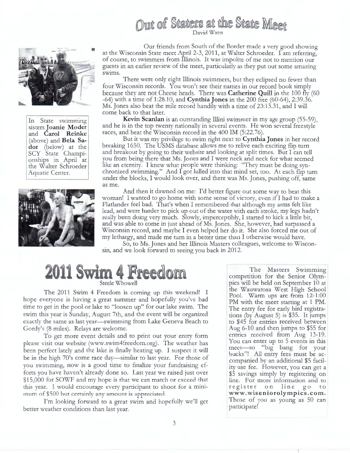



In State swimming sisters **Joanie Moder**  and **Carol Reinke**  (above) and **Bela Sador** (below) at the SCY State Championships in April at the Walter Schroeder Aquatic Center.



Our friends from South of the Border made a very good showing at the Wisconsin State meet April 2-3, 2011, at Walter Schroeder. I am referring, of course, to swimmers from Illinois. It was impolite of me not to mention our guests in an earlier review of the meet, particularly as they put out some amazing swims.

There were only eight Illinois swimmers, but they eclipsed no fewer than four Wisconsin records. You won't see their names in our record book simply because they are not Cheese heads. There was **Catherine Quill** in the 100 fly (60 -64) with a time of 1:28.10, and **Cynthia Jones** in the 200 free (60-64), 2:39 .36. Ms. Jones also beat the mile record handily with a time of 23:13.31, and I will come back to that later.

**Kevin Scanlan** is an outstanding Illini swimmer in my age group (55-59), and he is in the top twenty nationally in several events. He won several freestyle races, and beat the Wisconsin record in the 400 IM (5:22.76).

But it was my privilege to swim right next to **Cynthia Jones** in her record breaking 1650. The USMS database allows me to relive each exciting flip turn and breakout by going to their website and looking at split times. But I can tell you from being there that Ms. Jones and I were neck and neck for what seemed like an eternity. I knew what people were thinking: "They must be doing synchronized swimming." And I got lulled into that mind set, too. At each flip turn under the blocks, I would look over, and there was Ms. Jones, pushing off, same as me.

And then it dawned on me: I'd better figure out some way to beat this woman! I wanted to go home with some sense of victory, even if I had to make a Flatlander feel bad. That's when I remembered that although my arms felt like lead, and were harder to pick up out of the water with each stroke, my legs hadn't really been doing very much. Slowly, imperceptibly, I started to kick a little bit, and was able to come in just ahead of Ms.Jones. She, however, had surpassed a Wisconsin record, and maybe I even helped her do it. She also forced me out of my lethargy, and made me turn in a better time than I otherwise would have.

So, to Ms. Jones and her Illinois Masters colleagues, welcome to Wisconsin, and we look forward to seeing you back in 2012.

# 11 Swim 4 Freedom

Steele Whowell

The 2011 Swim 4 Freedom is coming up this weekend! I hope everyone is having a great summer and hopefully you've had time to get in the pool or lake to "loosen up" for our lake swim. The swim this year is Sunday, August 7th, and the event will be organized exactly the same as last year-swimming from Lake Geneva Beach to Gordy's (8 miles). Relays are welcome.

To get more event details and to print out your entry form please visit our website (www.swim4freedom.org). The weather has been perfect lately and the lake is finally heating up. I suspect it will be in the high 70's come race day—similar to last year. For those of you swimming, now is a good time to finalize your fundraising efforts you have haven't already done so. Last year we raised just over \$15,000 for SOWF and my hope is that we can match or exceed that this year. I would encourage every participant to shoot for a minimum of \$500 but certainly any amount is appreciated.

I'm looking forward to a great swim and hopefully we'll get better weather conditions than last year.

The Masters Swimming competition for the Senior Olympics will be held on September 10 at<br>the Wauwatosa West High School Pool. Warm ups are from 12-1:00 PM with the meet starting at 1 PM. The entry fee for early bird registrations (by August 5) is \$35. It jumps to \$45 for entries received between Aug 6-10 and then jumps to \$55 for entries received from Aug 13-19. You can enter up to 5 events in this meet-so "big bang for your bucks"! All entry fees must be accompanied by an additional \$5 facility use fee. However, you can get a \$5 savings simply by registering on line. For more information and to register on line go to **www.wiseniorolympics.com.**  Those of you as young as 50 can participate!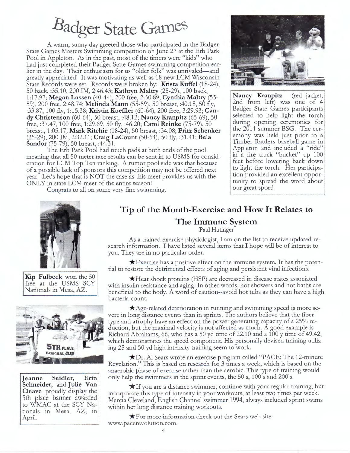# Badger State Games

A warm, sunny day greeted those who participated in the Badger State Games Masters Swimming competition on June 27 at the Erb Park Pool in Appleton. As in the past, most of the timers were "kids" who had just completed their Badger State Games swimming competition earlier in the day. Their enthusiasm for us "older folk" was unrivaled-and greatly appreciated! It was motivating as well as 18 new LCM Wisconsin State Records were set. Records were broken by: **Krista Kuffel** (18-24), 50 back, :35.10, 200 IM, 2:46.43; **Kathryn Maltry** (25-29), 100 back, **Nancy Kranpitz** (red jacket, 1 :17.97; **Megan Lassen** (40-44), 200 free, 2:30.89; **Cynthia Maltry** (55- 59), 200 free, 2:48.74; **Melinda Mann** (55-59), 50 breast, :40.18, 50 fly, :33.87, 100 fly, 1:15.38; **Kristin Koeffler** (60-64), 200 free, 3:29.93; **Candy Christenson** (60-64), 50 breast, :48.12; **Nancy Kranpitz** (65-69), 50 free, :37.47, 100 free, 1:29.69, 50 fly, :46.20; **Carol Reinke** (75-79), 50 breast., 1 :05.17; **Mark Ritchie** (18-24), 50 breast, :34.08; **Fritz Schenker**  (25-29), 200 IM, 2:32.11; **Craig LaCount** (50-54), 50 fly, :31.41; **Bela Sandor** (75-79), 50 breast, :44.31.

The Erb Park Pool had touch pads at both ends of the pool meaning that all 50 meter race results can be sent in to USMS for consideration for LCM Top Ten ranking. A rumor pool side was that because of a possible lack of sponsors this competition may not be offered next year. Let's hope that is NOT the case as this meet provides us with the ONLY in state LCM meet of the entire season!

Congrats to all on some very fine swimming.



2nd from left) was one of 4 Badger State Games participants selected to help light the torch during opening ceremonies for the 2011 summer BSG. The ceremony was held just prior to a Timber Rattlers baseball game in Appleton and included a "ride" in a fire truck "bucket" up 100 feet before lowering back down to light the torch. Her participation provided an excellent opportunity to spread the word about our great sport!



**Kip Fulbeck** won the 50 free at the USMS SCY Nationals in Mesa, AZ.



**Jeanne Seidler, Erin Schneider,** and **Julie Van Cleave** proudly display the 5th place banner awarded to WMAC at the SCY Nationals in Mesa, AZ, in April.

#### **Tip of the Month-Exercise and How It Relates to The Immune System**

Paul Hutinger

As a trained exercise physiologist, I am on the list to receive updated research information. I have listed several items that I hope will be of interest to you. They are in no particular order.

 $\star$  Exercise has a positive effect on the immune system. It has the potential to restore the detrimental effects of aging and persistent viral infections.

 $\star$ Heat shock proteins (HSP) are decreased in disease states associated with insulin resistance and aging. In other words, hot showers and hot baths are beneficial to the body. A word of caution--avoid hot tubs as they can have a high bacteria count.

 $\bigstar$  Age-related deterioration in running and swimming speed is more severe in long distance events than in sprints. The authors believe that the fiber type and atrophy have an effect on the power generating capacity of a 25% reduction, but the maximal velocity is not affected as much. A good example is Richard Abrahams, 66, who has a 50 yd time of 22.10 and a 100 y time of 49.42, which demonstrates the speed component. His personally devised training utilizing 25 and 50 yd high intensity training seem to work.

 $\bigstar$ Dr. Al Sears wrote an exercise program called "PACE: The 12-minute Revelation." This is based on research for 3 times a week, which is based on the anaerobic phase of exercise rather than the aerobic. This type of training would only help the swimmers in the sprint events, the 50's, 100's and 200's.

 $\star$ If you are a distance swimmer, continue with your regular training, but incorporate this type of intensity in your workouts, at least two times per week. Marcia Cleveland, English Channel swimmer 1994, always included sprint swims within her long distance training workouts.

 $\bigstar$  For more information check out the Sears web site: www.pacerevolution.com.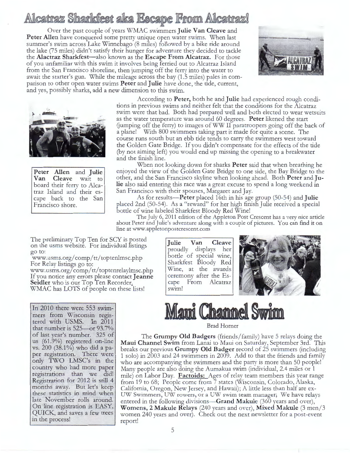## Alcatraz Sharkfest aka Escape From Alcatraz!

Over the past couple of years WMAC swimmers **Julie Van Cleave** and Peter Allen have conquered some pretty unique open water swims. When last summer's swim across Lake Winnebago (8 miles) followed by a bike ride around the lake (75 miles) didn't satisfy their hunger for adventure they decided to tackle the **Alactraz Sharkfest-also** known as the **Escape From Alcatraz.** For those of you unfamiliar with this swim it involves being ferried out to Alcatraz Island from the San Francisco shoreline, then jumping off the ferry into the water to await the starter's gun. While the mileage across the bay (1.5 miles) pales in comparison to other open water swims **Peter** and **Julie** have done, the tide, current, and yes, possibly sharks, add a new dimension to this swim.





**Peter Allen** and **Julie Cleave** wait to board their ferry to Alcatraz Island and their escape back to the San Francisco shore.

According to **Peter,** both he and **Julie** had experienced rough conditions in previous swims and neither felt that the conditions for the Alcatraz swim were that bad. Both had prepared well and both elected to wear wetsuits as the water temperature was around 60 degrees. **Peter** likened the start (jumping off the ferry) to images of WW II paratroopers going off the back of a plane! With 800 swimmers taking part it made for quite a scene. The course runs south but an ebb tide tends to carry the swimmers west toward the Golden Gate Bridge. If you didn't compensate for the effects of the tide (by not aiming left) you would end up missing the opening to a breakwater and the finish line.

When not looking down for sharks **Peter** said that when breathing he enjoyed the view of the Golden Gate Bridge to one side, the Bay Bridge to the other, and the San Francisco skyline when looking ahead. Both **Peter** and **Julie** also said entering this race was a great excuse to spend a long weekend in San Francisco with their spouses, Margaret and Jay.

As for results-Peter placed 16th in his age group (50-54) and **Julie**  placed 2nd (50-54). As a "reward" for her high finish Julie received a special bottle of wine labeled Sharkfest Bloody Red Wine!

The July 6, 2011 edition of the Appleton Post Crescent has a very nice article about Peter and Julie's adventure along with a couple of pictures. You can find it on line at www.appletonpostcrescent.com

The preliminary Top Ten for SCY is posted on the usms website. For individual listings go to:

www.usms.org/ comp/ tt/ toptenlmsc.php For Relay listings go to:

www.usms.org/ comp/ tt/ toptenrelaylmsc.php If you notice any errors please contact **Jeanne**  Seidler who is our Top Ten Recorder. WMAC has LOTS of people on these lists!

In 2010 there were 553 swim- . mers from Wisconsin registered with USMS. In 2011 that number is  $525$ —or  $93.7\%$ of last year's number. 325 of us (61.9%) registered on-line vs. 200 (38.1%) who did a paper registration. There were only TWO LMSC's in the country who had more paper registrations than we did! Registration for 2012 is still 4 months away. But let's keep these statistics in mind when late November rolls around. On line registration is EASY, QUICK, and saves a few trees in the process!

**Julie Van Cleave**  proudly displays her bottle of special wine, Sharkfest Bloody Red Wine, at the awards ceremony after the Escape From Alcatraz swim!





Brad Horner

The **Grumpy Old Badgers** (friends/ family) have 5 relays doing the **Maui Channel Swim** from Lanai to Maui on Saturday, September 3rd. This breaks our previous **Grumpy Old Badger** record of 25 swimmers (including 1 solo) in 2003 and 24 swimmers in 2009. Add to that the friends and family who are accompanying the swimmers and the party is more than 50 people! Many people are also doing the Aumakua swim (individual, 2.4 miles or 1 mile) on Labor Day. **Factoids:** Ages of relay team members this year range from 19 to 68; People come from 7 states (Wisconsin, Colorado, Alaska, California, Oregon, New Jersey, and Hawaii); A little less than half are ex-UW Swimmers, UW rowers, or a UW swim team manager; We have relays entered in the following divisions—**Grand Makule** (360 years and over), **Womens, 2 Makule Relays** (240 years and over), **Mixed Makule** (3 men/ 3 women 240 years and over). Check out the next newsletter for a post-event report!